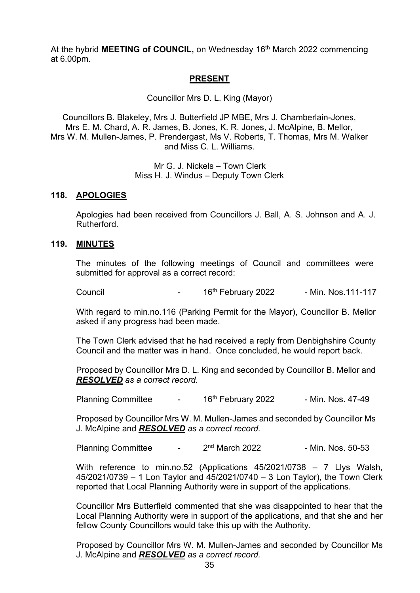At the hybrid **MEETING of COUNCIL**, on Wednesday 16<sup>th</sup> March 2022 commencing at 6.00pm.

## **PRESENT**

Councillor Mrs D. L. King (Mayor)

Councillors B. Blakeley, Mrs J. Butterfield JP MBE, Mrs J. Chamberlain-Jones, Mrs E. M. Chard, A. R. James, B. Jones, K. R. Jones, J. McAlpine, B. Mellor, Mrs W. M. Mullen-James, P. Prendergast, Ms V. Roberts, T. Thomas, Mrs M. Walker and Miss C. L. Williams.

> Mr G. J. Nickels – Town Clerk Miss H. J. Windus – Deputy Town Clerk

### **118. APOLOGIES**

Apologies had been received from Councillors J. Ball, A. S. Johnson and A. J. Rutherford.

#### **119. MINUTES**

The minutes of the following meetings of Council and committees were submitted for approval as a correct record:

Council **Council Council 16th February 2022** - Min. Nos.111-117

With regard to min.no.116 (Parking Permit for the Mayor), Councillor B. Mellor asked if any progress had been made.

The Town Clerk advised that he had received a reply from Denbighshire County Council and the matter was in hand. Once concluded, he would report back.

Proposed by Councillor Mrs D. L. King and seconded by Councillor B. Mellor and *RESOLVED as a correct record.*

Planning Committee - 16<sup>th</sup> February 2022 - Min. Nos. 47-49

Proposed by Councillor Mrs W. M. Mullen-James and seconded by Councillor Ms J. McAlpine and *RESOLVED as a correct record.*

Planning Committee - 2<sup>nd</sup> March 2022 - Min. Nos. 50-53

With reference to min.no.52 (Applications 45/2021/0738 – 7 Llys Walsh, 45/2021/0739 – 1 Lon Taylor and 45/2021/0740 – 3 Lon Taylor), the Town Clerk reported that Local Planning Authority were in support of the applications.

Councillor Mrs Butterfield commented that she was disappointed to hear that the Local Planning Authority were in support of the applications, and that she and her fellow County Councillors would take this up with the Authority.

Proposed by Councillor Mrs W. M. Mullen-James and seconded by Councillor Ms J. McAlpine and *RESOLVED as a correct record.*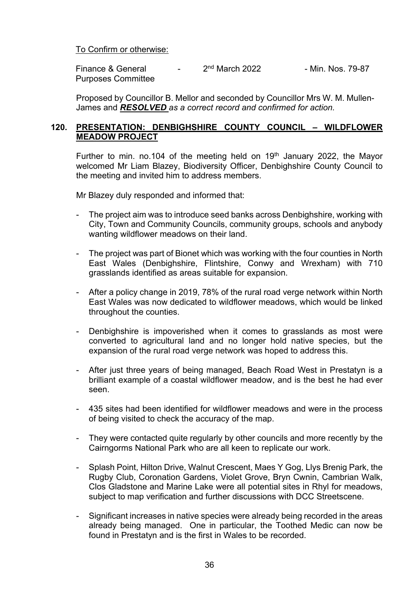To Confirm or otherwise:

Finance & General  $\frac{2000}{100}$  March 2022 - Min. Nos. 79-87 Purposes Committee

Proposed by Councillor B. Mellor and seconded by Councillor Mrs W. M. Mullen-James and *RESOLVED as a correct record and confirmed for action.*

### **120. PRESENTATION: DENBIGHSHIRE COUNTY COUNCIL – WILDFLOWER MEADOW PROJECT**

Further to min. no.104 of the meeting held on 19<sup>th</sup> January 2022, the Mayor welcomed Mr Liam Blazey, Biodiversity Officer, Denbighshire County Council to the meeting and invited him to address members.

Mr Blazey duly responded and informed that:

- The project aim was to introduce seed banks across Denbighshire, working with City, Town and Community Councils, community groups, schools and anybody wanting wildflower meadows on their land.
- The project was part of Bionet which was working with the four counties in North East Wales (Denbighshire, Flintshire, Conwy and Wrexham) with 710 grasslands identified as areas suitable for expansion.
- After a policy change in 2019, 78% of the rural road verge network within North East Wales was now dedicated to wildflower meadows, which would be linked throughout the counties.
- Denbighshire is impoverished when it comes to grasslands as most were converted to agricultural land and no longer hold native species, but the expansion of the rural road verge network was hoped to address this.
- After just three years of being managed, Beach Road West in Prestatyn is a brilliant example of a coastal wildflower meadow, and is the best he had ever seen.
- 435 sites had been identified for wildflower meadows and were in the process of being visited to check the accuracy of the map.
- They were contacted quite regularly by other councils and more recently by the Cairngorms National Park who are all keen to replicate our work.
- Splash Point, Hilton Drive, Walnut Crescent, Maes Y Gog, Llys Brenig Park, the Rugby Club, Coronation Gardens, Violet Grove, Bryn Cwnin, Cambrian Walk, Clos Gladstone and Marine Lake were all potential sites in Rhyl for meadows, subject to map verification and further discussions with DCC Streetscene.
- Significant increases in native species were already being recorded in the areas already being managed. One in particular, the Toothed Medic can now be found in Prestatyn and is the first in Wales to be recorded.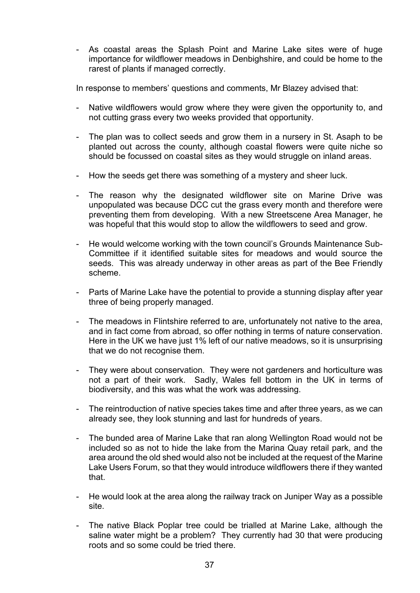- As coastal areas the Splash Point and Marine Lake sites were of huge importance for wildflower meadows in Denbighshire, and could be home to the rarest of plants if managed correctly.

In response to members' questions and comments, Mr Blazey advised that:

- Native wildflowers would grow where they were given the opportunity to, and not cutting grass every two weeks provided that opportunity.
- The plan was to collect seeds and grow them in a nursery in St. Asaph to be planted out across the county, although coastal flowers were quite niche so should be focussed on coastal sites as they would struggle on inland areas.
- How the seeds get there was something of a mystery and sheer luck.
- The reason why the designated wildflower site on Marine Drive was unpopulated was because DCC cut the grass every month and therefore were preventing them from developing. With a new Streetscene Area Manager, he was hopeful that this would stop to allow the wildflowers to seed and grow.
- He would welcome working with the town council's Grounds Maintenance Sub-Committee if it identified suitable sites for meadows and would source the seeds. This was already underway in other areas as part of the Bee Friendly scheme.
- Parts of Marine Lake have the potential to provide a stunning display after year three of being properly managed.
- The meadows in Flintshire referred to are, unfortunately not native to the area, and in fact come from abroad, so offer nothing in terms of nature conservation. Here in the UK we have just 1% left of our native meadows, so it is unsurprising that we do not recognise them.
- They were about conservation. They were not gardeners and horticulture was not a part of their work. Sadly, Wales fell bottom in the UK in terms of biodiversity, and this was what the work was addressing.
- The reintroduction of native species takes time and after three years, as we can already see, they look stunning and last for hundreds of years.
- The bunded area of Marine Lake that ran along Wellington Road would not be included so as not to hide the lake from the Marina Quay retail park, and the area around the old shed would also not be included at the request of the Marine Lake Users Forum, so that they would introduce wildflowers there if they wanted that.
- He would look at the area along the railway track on Juniper Way as a possible site.
- The native Black Poplar tree could be trialled at Marine Lake, although the saline water might be a problem? They currently had 30 that were producing roots and so some could be tried there.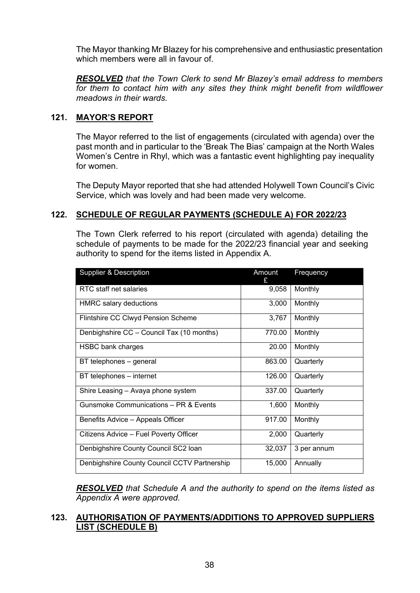The Mayor thanking Mr Blazey for his comprehensive and enthusiastic presentation which members were all in favour of

*RESOLVED that the Town Clerk to send Mr Blazey's email address to members*  for them to contact him with any sites they think might benefit from wildflower *meadows in their wards.*

## **121. MAYOR'S REPORT**

The Mayor referred to the list of engagements (circulated with agenda) over the past month and in particular to the 'Break The Bias' campaign at the North Wales Women's Centre in Rhyl, which was a fantastic event highlighting pay inequality for women.

The Deputy Mayor reported that she had attended Holywell Town Council's Civic Service, which was lovely and had been made very welcome.

## **122. SCHEDULE OF REGULAR PAYMENTS (SCHEDULE A) FOR 2022/23**

The Town Clerk referred to his report (circulated with agenda) detailing the schedule of payments to be made for the 2022/23 financial year and seeking authority to spend for the items listed in Appendix A.

| <b>Supplier &amp; Description</b>            | Amount<br>£. | Frequency   |
|----------------------------------------------|--------------|-------------|
| RTC staff net salaries                       | 9,058        | Monthly     |
| <b>HMRC</b> salary deductions                | 3,000        | Monthly     |
| Flintshire CC Clwyd Pension Scheme           | 3,767        | Monthly     |
| Denbighshire CC - Council Tax (10 months)    | 770.00       | Monthly     |
| HSBC bank charges                            | 20.00        | Monthly     |
| BT telephones - general                      | 863.00       | Quarterly   |
| BT telephones - internet                     | 126.00       | Quarterly   |
| Shire Leasing – Avaya phone system           | 337.00       | Quarterly   |
| Gunsmoke Communications - PR & Events        | 1,600        | Monthly     |
| Benefits Advice - Appeals Officer            | 917.00       | Monthly     |
| Citizens Advice – Fuel Poverty Officer       | 2,000        | Quarterly   |
| Denbighshire County Council SC2 loan         | 32,037       | 3 per annum |
| Denbighshire County Council CCTV Partnership | 15,000       | Annually    |

*RESOLVED that Schedule A and the authority to spend on the items listed as Appendix A were approved.*

### **123. AUTHORISATION OF PAYMENTS/ADDITIONS TO APPROVED SUPPLIERS LIST (SCHEDULE B)**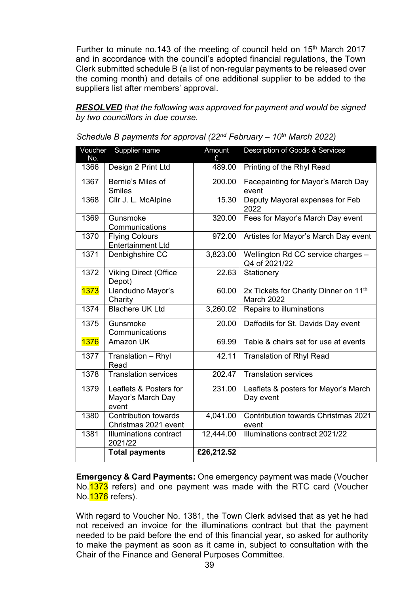Further to minute no.143 of the meeting of council held on 15<sup>th</sup> March 2017 and in accordance with the council's adopted financial regulations, the Town Clerk submitted schedule B (a list of non-regular payments to be released over the coming month) and details of one additional supplier to be added to the suppliers list after members' approval.

*RESOLVED that the following was approved for payment and would be signed by two councillors in due course.* 

| Voucher<br>No. | Supplier name                                        | Amount<br>£ | Description of Goods & Services                                 |
|----------------|------------------------------------------------------|-------------|-----------------------------------------------------------------|
| 1366           | Design 2 Print Ltd                                   | 489.00      | Printing of the Rhyl Read                                       |
| 1367           | Bernie's Miles of<br><b>Smiles</b>                   | 200.00      | Facepainting for Mayor's March Day<br>event                     |
| 1368           | Cllr J. L. McAlpine                                  | 15.30       | Deputy Mayoral expenses for Feb<br>2022                         |
| 1369           | Gunsmoke<br>Communications                           | 320.00      | Fees for Mayor's March Day event                                |
| 1370           | <b>Flying Colours</b><br><b>Entertainment Ltd</b>    | 972.00      | Artistes for Mayor's March Day event                            |
| 1371           | Denbighshire CC                                      | 3,823.00    | Wellington Rd CC service charges -<br>Q4 of 2021/22             |
| 1372           | <b>Viking Direct (Office</b><br>Depot)               | 22.63       | Stationery                                                      |
| <b>1373</b>    | Llandudno Mayor's<br>Charity                         | 60.00       | 2x Tickets for Charity Dinner on 11 <sup>th</sup><br>March 2022 |
| 1374           | <b>Blachere UK Ltd</b>                               | 3,260.02    | Repairs to illuminations                                        |
| 1375           | Gunsmoke<br>Communications                           | 20.00       | Daffodils for St. Davids Day event                              |
| <b>1376</b>    | Amazon UK                                            | 69.99       | Table & chairs set for use at events                            |
| 1377           | Translation - Rhyl<br>Read                           | 42.11       | <b>Translation of Rhyl Read</b>                                 |
| 1378           | <b>Translation services</b>                          | 202.47      | <b>Translation services</b>                                     |
| 1379           | Leaflets & Posters for<br>Mayor's March Day<br>event | 231.00      | Leaflets & posters for Mayor's March<br>Day event               |
| 1380           | <b>Contribution towards</b><br>Christmas 2021 event  | 4,041.00    | Contribution towards Christmas 2021<br>event                    |
| 1381           | Illuminations contract<br>2021/22                    | 12,444.00   | Illuminations contract 2021/22                                  |
|                | <b>Total payments</b>                                | £26,212.52  |                                                                 |

*Schedule B payments for approval (22nd February – 10th March 2022)*

 **Emergency & Card Payments:** One emergency payment was made (Voucher No. 1373 refers) and one payment was made with the RTC card (Voucher No. **1376** refers).

With regard to Voucher No. 1381, the Town Clerk advised that as yet he had not received an invoice for the illuminations contract but that the payment needed to be paid before the end of this financial year, so asked for authority to make the payment as soon as it came in, subject to consultation with the Chair of the Finance and General Purposes Committee.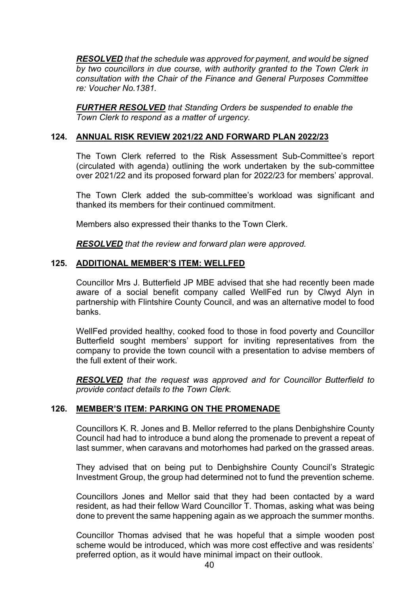*RESOLVED that the schedule was approved for payment, and would be signed by two councillors in due course, with authority granted to the Town Clerk in consultation with the Chair of the Finance and General Purposes Committee re: Voucher No.1381.*

*FURTHER RESOLVED that Standing Orders be suspended to enable the Town Clerk to respond as a matter of urgency.*

#### **124. ANNUAL RISK REVIEW 2021/22 AND FORWARD PLAN 2022/23**

The Town Clerk referred to the Risk Assessment Sub-Committee's report (circulated with agenda) outlining the work undertaken by the sub-committee over 2021/22 and its proposed forward plan for 2022/23 for members' approval.

The Town Clerk added the sub-committee's workload was significant and thanked its members for their continued commitment.

Members also expressed their thanks to the Town Clerk.

*RESOLVED that the review and forward plan were approved.*

### **125. ADDITIONAL MEMBER'S ITEM: WELLFED**

Councillor Mrs J. Butterfield JP MBE advised that she had recently been made aware of a social benefit company called WellFed run by Clwyd Alyn in partnership with Flintshire County Council, and was an alternative model to food banks.

WellFed provided healthy, cooked food to those in food poverty and Councillor Butterfield sought members' support for inviting representatives from the company to provide the town council with a presentation to advise members of the full extent of their work.

*RESOLVED that the request was approved and for Councillor Butterfield to provide contact details to the Town Clerk.*

### **126. MEMBER'S ITEM: PARKING ON THE PROMENADE**

Councillors K. R. Jones and B. Mellor referred to the plans Denbighshire County Council had had to introduce a bund along the promenade to prevent a repeat of last summer, when caravans and motorhomes had parked on the grassed areas.

They advised that on being put to Denbighshire County Council's Strategic Investment Group, the group had determined not to fund the prevention scheme.

Councillors Jones and Mellor said that they had been contacted by a ward resident, as had their fellow Ward Councillor T. Thomas, asking what was being done to prevent the same happening again as we approach the summer months.

Councillor Thomas advised that he was hopeful that a simple wooden post scheme would be introduced, which was more cost effective and was residents' preferred option, as it would have minimal impact on their outlook.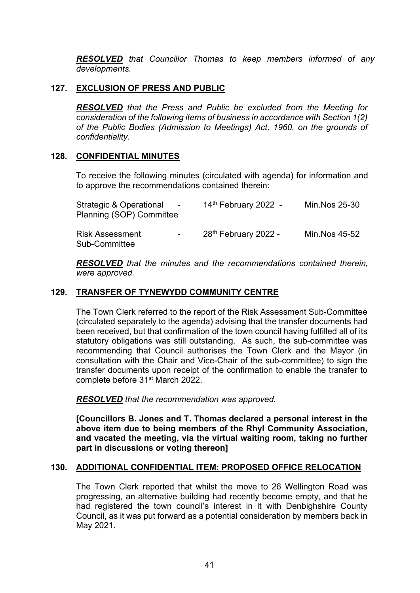*RESOLVED that Councillor Thomas to keep members informed of any developments.*

### **127. EXCLUSION OF PRESS AND PUBLIC**

*RESOLVED that the Press and Public be excluded from the Meeting for consideration of the following items of business in accordance with Section 1(2) of the Public Bodies (Admission to Meetings) Act, 1960, on the grounds of confidentiality.*

### **128. CONFIDENTIAL MINUTES**

To receive the following minutes (circulated with agenda) for information and to approve the recommendations contained therein:

| Strategic & Operational<br>$\sim 100$ m $^{-1}$<br>Planning (SOP) Committee | 14th February 2022 -             | Min.Nos 25-30 |
|-----------------------------------------------------------------------------|----------------------------------|---------------|
| Risk Assessment<br>$\sim 100$<br>Sub-Committee                              | 28 <sup>th</sup> February 2022 - | Min.Nos 45-52 |

*RESOLVED that the minutes and the recommendations contained therein, were approved.*

### **129. TRANSFER OF TYNEWYDD COMMUNITY CENTRE**

The Town Clerk referred to the report of the Risk Assessment Sub-Committee (circulated separately to the agenda) advising that the transfer documents had been received, but that confirmation of the town council having fulfilled all of its statutory obligations was still outstanding. As such, the sub-committee was recommending that Council authorises the Town Clerk and the Mayor (in consultation with the Chair and Vice-Chair of the sub-committee) to sign the transfer documents upon receipt of the confirmation to enable the transfer to complete before 31<sup>st</sup> March 2022.

*RESOLVED that the recommendation was approved.*

**[Councillors B. Jones and T. Thomas declared a personal interest in the above item due to being members of the Rhyl Community Association, and vacated the meeting, via the virtual waiting room, taking no further part in discussions or voting thereon]**

### **130. ADDITIONAL CONFIDENTIAL ITEM: PROPOSED OFFICE RELOCATION**

The Town Clerk reported that whilst the move to 26 Wellington Road was progressing, an alternative building had recently become empty, and that he had registered the town council's interest in it with Denbighshire County Council, as it was put forward as a potential consideration by members back in May 2021.